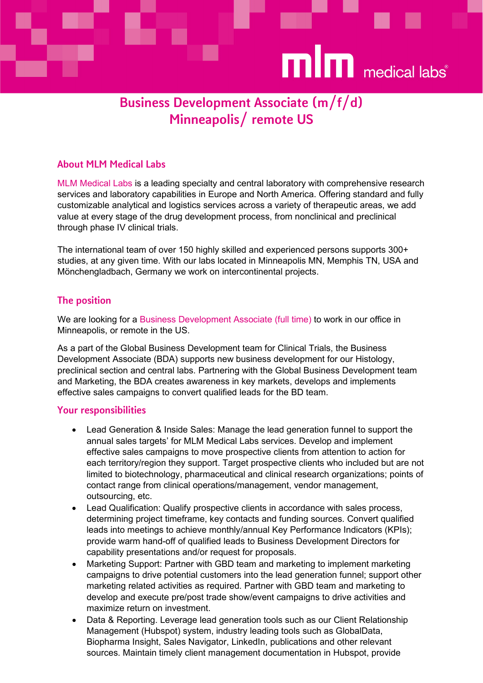

# Business Development Associate (m/f/d) Minneapolis/ remote US

## About MLM Medical Labs

MLM Medical Labs is a leading specialty and central laboratory with comprehensive research services and laboratory capabilities in Europe and North America. Offering standard and fully customizable analytical and logistics services across a variety of therapeutic areas, we add value at every stage of the drug development process, from nonclinical and preclinical through phase IV clinical trials.

The international team of over 150 highly skilled and experienced persons supports 300+ studies, at any given time. With our labs located in Minneapolis MN, Memphis TN, USA and Mönchengladbach, Germany we work on intercontinental projects.

### The position

We are looking for a Business Development Associate (full time) to work in our office in Minneapolis, or remote in the US.

As a part of the Global Business Development team for Clinical Trials, the Business Development Associate (BDA) supports new business development for our Histology, preclinical section and central labs. Partnering with the Global Business Development team and Marketing, the BDA creates awareness in key markets, develops and implements effective sales campaigns to convert qualified leads for the BD team.

#### Your responsibilities

- Lead Generation & Inside Sales: Manage the lead generation funnel to support the annual sales targets' for MLM Medical Labs services. Develop and implement effective sales campaigns to move prospective clients from attention to action for each territory/region they support. Target prospective clients who included but are not limited to biotechnology, pharmaceutical and clinical research organizations; points of contact range from clinical operations/management, vendor management, outsourcing, etc.
- Lead Qualification: Qualify prospective clients in accordance with sales process, determining project timeframe, key contacts and funding sources. Convert qualified leads into meetings to achieve monthly/annual Key Performance Indicators (KPIs); provide warm hand-off of qualified leads to Business Development Directors for capability presentations and/or request for proposals.
- Marketing Support: Partner with GBD team and marketing to implement marketing campaigns to drive potential customers into the lead generation funnel; support other marketing related activities as required. Partner with GBD team and marketing to develop and execute pre/post trade show/event campaigns to drive activities and maximize return on investment.
- Data & Reporting. Leverage lead generation tools such as our Client Relationship Management (Hubspot) system, industry leading tools such as GlobalData, Biopharma Insight, Sales Navigator, LinkedIn, publications and other relevant sources. Maintain timely client management documentation in Hubspot, provide